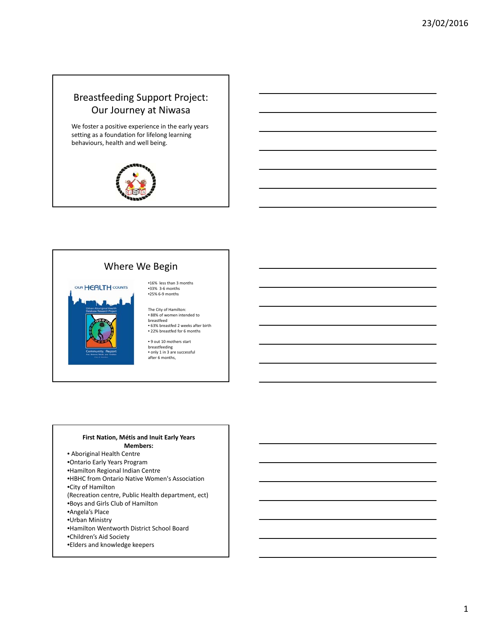# Breastfeeding Support Project: Our Journey at Niwasa

We foster a positive experience in the early years setting as a foundation for lifelong learning behaviours, health and well being.



#### Where We Begin



•16% less than 3 months •33% 3‐6 months •25% 6‐9 months

The City of Hamilton: • 88% of women intended to breastfeed • 63% breastfed 2 weeks after birth • 22% breastfed for 6 months

• 9 out 10 mothers start breastfeeding • only 1 in 3 are successful after 6 months,

#### **First Nation, Métis and Inuit Early Years Members:**

• Aboriginal Health Centre •Ontario Early Years Program •Hamilton Regional Indian Centre •HBHC from Ontario Native Women's Association •City of Hamilton (Recreation centre, Public Health department, ect) •Boys and Girls Club of Hamilton •Angela's Place •Urban Ministry •Hamilton Wentworth District School Board

- •Children's Aid Society
- •Elders and knowledge keepers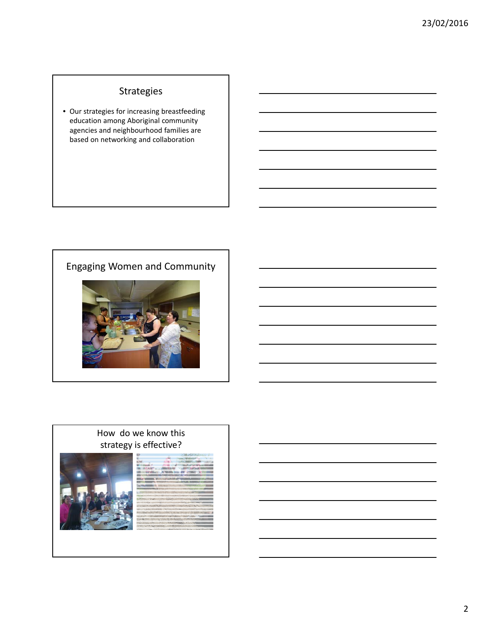# Strategies

• Our strategies for increasing breastfeeding education among Aboriginal community agencies and neighbourhood families are based on networking and collaboration

# Engaging Women and Community



#### How do we know this strategy is effective?

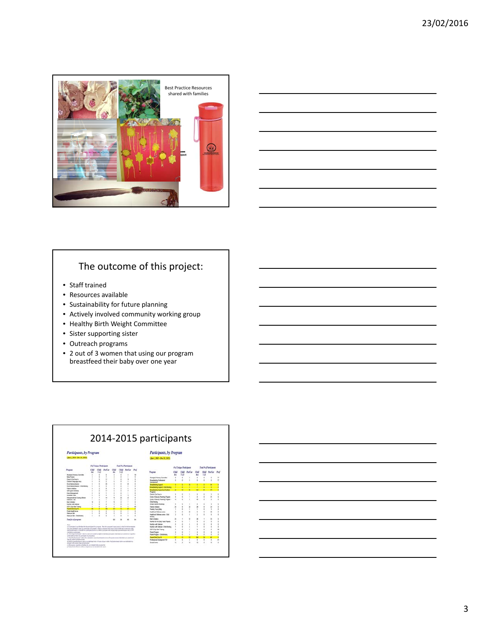



# The outcome of this project:

- Staff trained
- Resources available
- Sustainability for future planning
- Actively involved community working group
- Healthy Birth Weight Committee
- Sister supporting sister
- Outreach programs
- 2 out of 3 women that using our program breastfeed their baby over one year